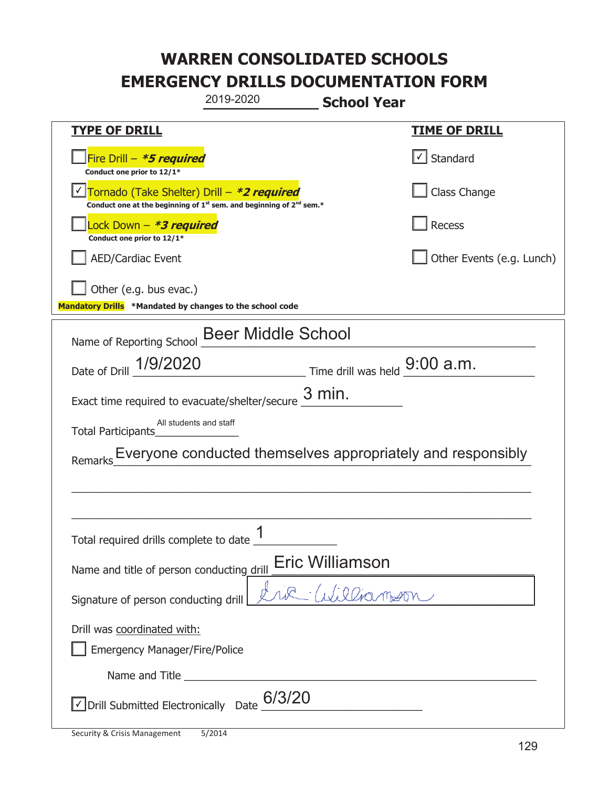|                                                                                    | 2019-2020                                                               | <b>School Year</b>                                                                                                                                                                                                                                                                                                                                                                                                    |                                   |  |
|------------------------------------------------------------------------------------|-------------------------------------------------------------------------|-----------------------------------------------------------------------------------------------------------------------------------------------------------------------------------------------------------------------------------------------------------------------------------------------------------------------------------------------------------------------------------------------------------------------|-----------------------------------|--|
| <b>TYPE OF DRILL</b>                                                               |                                                                         |                                                                                                                                                                                                                                                                                                                                                                                                                       | <b>TIME OF DRILL</b>              |  |
| Fire Drill - *5 required<br>Conduct one prior to 12/1*                             |                                                                         |                                                                                                                                                                                                                                                                                                                                                                                                                       | $\lfloor \angle \rfloor$ Standard |  |
| Tornado (Take Shelter) Drill – *2 required                                         | Conduct one at the beginning of $1st$ sem. and beginning of $2nd$ sem.* |                                                                                                                                                                                                                                                                                                                                                                                                                       | Class Change                      |  |
| Lock Down - *3 required<br>Conduct one prior to 12/1*                              |                                                                         |                                                                                                                                                                                                                                                                                                                                                                                                                       | Recess                            |  |
| <b>AED/Cardiac Event</b>                                                           |                                                                         |                                                                                                                                                                                                                                                                                                                                                                                                                       | Other Events (e.g. Lunch)         |  |
| Other (e.g. bus evac.)<br>Mandatory Drills *Mandated by changes to the school code |                                                                         |                                                                                                                                                                                                                                                                                                                                                                                                                       |                                   |  |
| Name of Reporting School Beer Middle School                                        |                                                                         |                                                                                                                                                                                                                                                                                                                                                                                                                       |                                   |  |
| Date of Drill 1/9/2020                                                             |                                                                         | $\frac{1}{\sqrt{1-\frac{1}{1-\frac{1}{1-\frac{1}{1-\frac{1}{1-\frac{1}{1-\frac{1}{1-\frac{1}{1-\frac{1}{1-\frac{1}{1-\frac{1}{1-\frac{1}{1-\frac{1}{1-\frac{1}{1-\frac{1}{1-\frac{1}{1-\frac{1}{1-\frac{1}{1-\frac{1}{1-\frac{1}{1-\frac{1}{1-\frac{1}{1-\frac{1}{1-\frac{1}{1-\frac{1}{1-\frac{1}{1-\frac{1}{1-\frac{1}{1-\frac{1}{1-\frac{1}{1-\frac{1}{1-\frac{1}{1-\frac{1}{1-\frac{1}{1-\frac{1}{1-\frac{1}{1-\$ |                                   |  |
| Exact time required to evacuate/shelter/secure $\frac{3 \text{ min}}{4}$ .         |                                                                         |                                                                                                                                                                                                                                                                                                                                                                                                                       |                                   |  |
| All students and staff<br>Total Participants                                       |                                                                         |                                                                                                                                                                                                                                                                                                                                                                                                                       |                                   |  |
| Everyone conducted themselves appropriately and responsibly<br>Remarks             |                                                                         |                                                                                                                                                                                                                                                                                                                                                                                                                       |                                   |  |
|                                                                                    |                                                                         |                                                                                                                                                                                                                                                                                                                                                                                                                       |                                   |  |
|                                                                                    |                                                                         |                                                                                                                                                                                                                                                                                                                                                                                                                       |                                   |  |
| Total required drills complete to date                                             | 1                                                                       |                                                                                                                                                                                                                                                                                                                                                                                                                       |                                   |  |
| Eric Williamson<br>Name and title of person conducting drill                       |                                                                         |                                                                                                                                                                                                                                                                                                                                                                                                                       |                                   |  |
| $1.00$ in marn<br>Signature of person conducting drill                             |                                                                         |                                                                                                                                                                                                                                                                                                                                                                                                                       |                                   |  |
| Drill was coordinated with:<br><b>Emergency Manager/Fire/Police</b>                |                                                                         |                                                                                                                                                                                                                                                                                                                                                                                                                       |                                   |  |
|                                                                                    |                                                                         |                                                                                                                                                                                                                                                                                                                                                                                                                       |                                   |  |
| 6/3/20<br>√ Drill Submitted Electronically Date                                    |                                                                         |                                                                                                                                                                                                                                                                                                                                                                                                                       |                                   |  |

T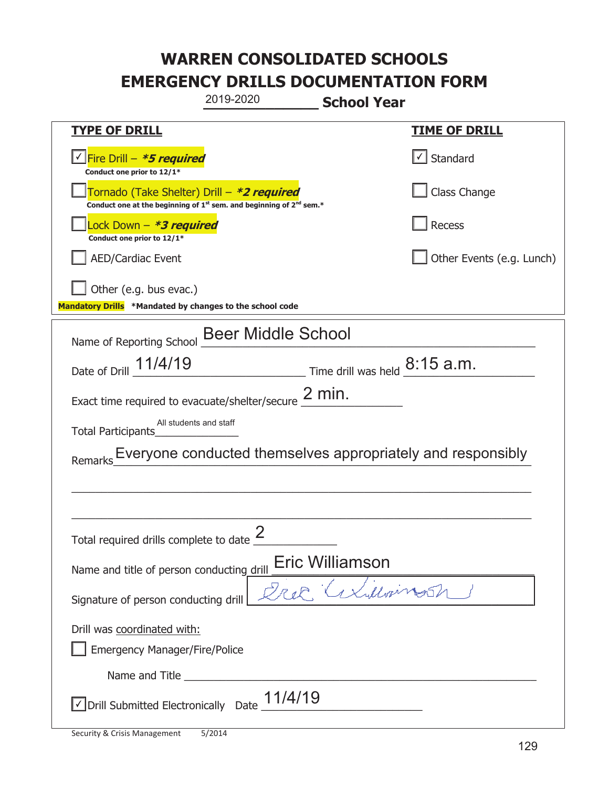|                                                                                    | 2019-2020                                                                                                                                 | <b>School Year</b>                                                              |                                   |  |
|------------------------------------------------------------------------------------|-------------------------------------------------------------------------------------------------------------------------------------------|---------------------------------------------------------------------------------|-----------------------------------|--|
| <b>TYPE OF DRILL</b>                                                               |                                                                                                                                           |                                                                                 | <b>TIME OF DRILL</b>              |  |
| V Fire Drill - *5 required<br>Conduct one prior to 12/1*                           |                                                                                                                                           |                                                                                 | $\lfloor \angle \rfloor$ Standard |  |
|                                                                                    | Tornado (Take Shelter) Drill – *2 required<br>Conduct one at the beginning of 1 <sup>st</sup> sem. and beginning of 2 <sup>nd</sup> sem.* |                                                                                 | Class Change                      |  |
| Lock Down - *3 required<br>Conduct one prior to 12/1*                              |                                                                                                                                           |                                                                                 | Recess                            |  |
| <b>AED/Cardiac Event</b>                                                           |                                                                                                                                           |                                                                                 | Other Events (e.g. Lunch)         |  |
| Other (e.g. bus evac.)<br>Mandatory Drills *Mandated by changes to the school code |                                                                                                                                           |                                                                                 |                                   |  |
| Name of Reporting School Beer Middle School                                        |                                                                                                                                           |                                                                                 |                                   |  |
| Date of Drill 11/4/19                                                              |                                                                                                                                           | $\frac{8:15 \text{ a.m.}}{2}$ Time drill was held $\frac{8:15 \text{ a.m.}}{2}$ |                                   |  |
| Exact time required to evacuate/shelter/secure $\frac{2 \text{ min}}{2}$ .         |                                                                                                                                           |                                                                                 |                                   |  |
| Total Participants                                                                 | All students and staff                                                                                                                    |                                                                                 |                                   |  |
| Everyone conducted themselves appropriately and responsibly<br>Remarks             |                                                                                                                                           |                                                                                 |                                   |  |
|                                                                                    |                                                                                                                                           |                                                                                 |                                   |  |
|                                                                                    |                                                                                                                                           |                                                                                 |                                   |  |
| Total required drills complete to date $\frac{2}{3}$                               |                                                                                                                                           |                                                                                 |                                   |  |
| Eric Williamson<br>Name and title of person conducting drill                       |                                                                                                                                           |                                                                                 |                                   |  |
| axillones<br>Signature of person conducting drill                                  |                                                                                                                                           |                                                                                 |                                   |  |
| Drill was coordinated with:<br><b>Emergency Manager/Fire/Police</b>                |                                                                                                                                           |                                                                                 |                                   |  |
|                                                                                    |                                                                                                                                           |                                                                                 |                                   |  |
| √ Drill Submitted Electronically Date                                              | 11/4/19                                                                                                                                   |                                                                                 |                                   |  |

T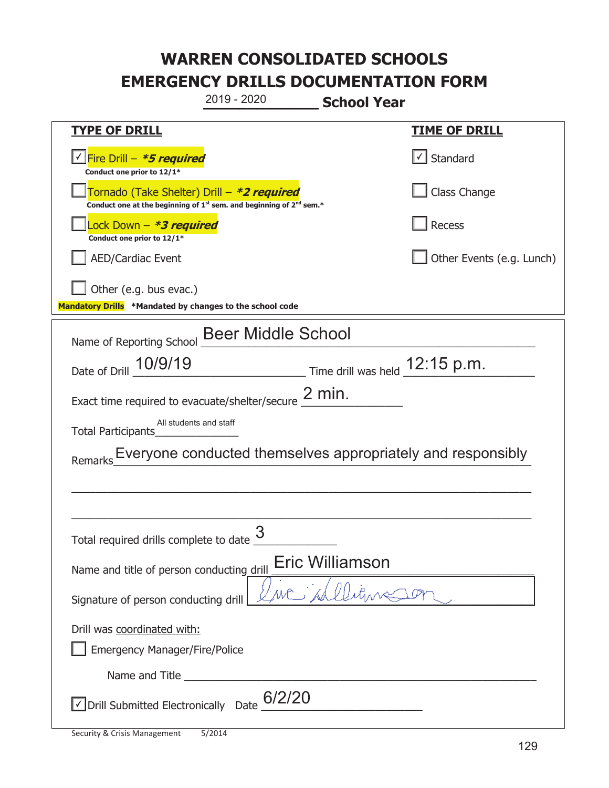|                                                                                    | 2019 - 2020                                                                                 | <b>School Year</b>               |  |  |
|------------------------------------------------------------------------------------|---------------------------------------------------------------------------------------------|----------------------------------|--|--|
| <u>TYPE OF DRILL</u>                                                               |                                                                                             | <u>TIME OF DRILL</u>             |  |  |
| <u> √ Fire Drill – <b>*5 required</b></u><br>Conduct one prior to 12/1*            |                                                                                             | Standard                         |  |  |
| Tornado (Take Shelter) Drill – *2 required                                         | Conduct one at the beginning of 1 <sup>st</sup> sem. and beginning of 2 <sup>nd</sup> sem.* | Class Change                     |  |  |
| Lock Down - <b>*3 required</b><br>Conduct one prior to 12/1*                       |                                                                                             | <b>Recess</b>                    |  |  |
| <b>AED/Cardiac Event</b>                                                           |                                                                                             | Other Events (e.g. Lunch)        |  |  |
| Other (e.g. bus evac.)<br>Mandatory Drills *Mandated by changes to the school code |                                                                                             |                                  |  |  |
|                                                                                    | <b>Beer Middle School</b>                                                                   |                                  |  |  |
| Name of Reporting School<br>Date of Drill 10/9/19                                  |                                                                                             | Time drill was held $12:15$ p.m. |  |  |
| Exact time required to evacuate/shelter/secure $2$ min.                            |                                                                                             |                                  |  |  |
| All students and staff<br><b>Total Participants</b>                                |                                                                                             |                                  |  |  |
| Everyone conducted themselves appropriately and responsibly<br>Remarks             |                                                                                             |                                  |  |  |
|                                                                                    |                                                                                             |                                  |  |  |
|                                                                                    |                                                                                             |                                  |  |  |
| Total required drills complete to date $\frac{3}{4}$                               |                                                                                             |                                  |  |  |
| <b>Eric Williamson</b><br>Name and title of person conducting drill                |                                                                                             |                                  |  |  |
| we sil<br>Signature of person conducting drill                                     |                                                                                             |                                  |  |  |
| Drill was coordinated with:                                                        |                                                                                             |                                  |  |  |
| <b>Emergency Manager/Fire/Police</b>                                               |                                                                                             |                                  |  |  |
|                                                                                    |                                                                                             |                                  |  |  |
| $\sqrt{\frac{1}{10}}$ Drill Submitted Electronically Date $\frac{6}{220}$          |                                                                                             |                                  |  |  |